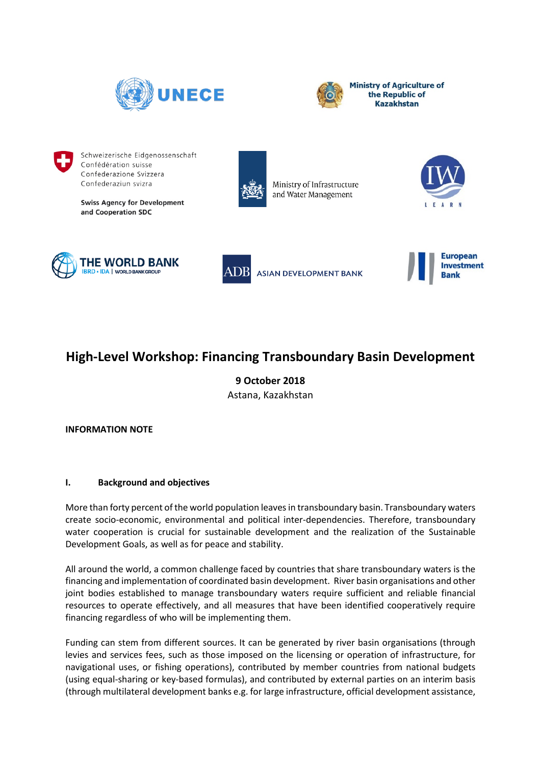



**Ministry of Agriculture of** the Republic of **Kazakhstan** 



Schweizerische Eidgenossenschaft Confédération suisse Confederazione Svizzera Confederaziun svizra

**Swiss Agency for Development** and Cooperation SDC



Ministry of Infrastructure and Water Management









# **High-Level Workshop: Financing Transboundary Basin Development**

**9 October 2018** Astana, Kazakhstan

**INFORMATION NOTE**

# **I. Background and objectives**

More than forty percent of the world population leaves in transboundary basin. Transboundary waters create socio-economic, environmental and political inter-dependencies. Therefore, transboundary water cooperation is crucial for sustainable development and the realization of the Sustainable Development Goals, as well as for peace and stability.

All around the world, a common challenge faced by countries that share transboundary waters is the financing and implementation of coordinated basin development. River basin organisations and other joint bodies established to manage transboundary waters require sufficient and reliable financial resources to operate effectively, and all measures that have been identified cooperatively require financing regardless of who will be implementing them.

Funding can stem from different sources. It can be generated by river basin organisations (through levies and services fees, such as those imposed on the licensing or operation of infrastructure, for navigational uses, or fishing operations), contributed by member countries from national budgets (using equal-sharing or key-based formulas), and contributed by external parties on an interim basis (through multilateral development banks e.g. for large infrastructure, official development assistance,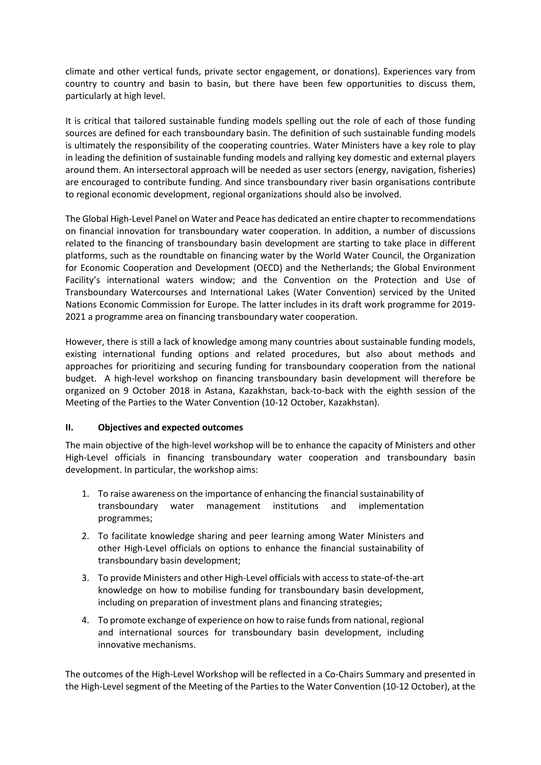climate and other vertical funds, private sector engagement, or donations). Experiences vary from country to country and basin to basin, but there have been few opportunities to discuss them, particularly at high level.

It is critical that tailored sustainable funding models spelling out the role of each of those funding sources are defined for each transboundary basin. The definition of such sustainable funding models is ultimately the responsibility of the cooperating countries. Water Ministers have a key role to play in leading the definition of sustainable funding models and rallying key domestic and external players around them. An intersectoral approach will be needed as user sectors (energy, navigation, fisheries) are encouraged to contribute funding. And since transboundary river basin organisations contribute to regional economic development, regional organizations should also be involved.

The Global High-Level Panel on Water and Peace has dedicated an entire chapter to recommendations on financial innovation for transboundary water cooperation. In addition, a number of discussions related to the financing of transboundary basin development are starting to take place in different platforms, such as the roundtable on financing water by the World Water Council, the Organization for Economic Cooperation and Development (OECD) and the Netherlands; the Global Environment Facility's international waters window; and the Convention on the Protection and Use of Transboundary Watercourses and International Lakes (Water Convention) serviced by the United Nations Economic Commission for Europe. The latter includes in its draft work programme for 2019- 2021 a programme area on financing transboundary water cooperation.

However, there is still a lack of knowledge among many countries about sustainable funding models, existing international funding options and related procedures, but also about methods and approaches for prioritizing and securing funding for transboundary cooperation from the national budget. A high-level workshop on financing transboundary basin development will therefore be organized on 9 October 2018 in Astana, Kazakhstan, back-to-back with the eighth session of the Meeting of the Parties to the Water Convention (10-12 October, Kazakhstan).

# **II. Objectives and expected outcomes**

The main objective of the high-level workshop will be to enhance the capacity of Ministers and other High-Level officials in financing transboundary water cooperation and transboundary basin development. In particular, the workshop aims:

- 1. To raise awareness on the importance of enhancing the financial sustainability of transboundary water management institutions and implementation programmes;
- 2. To facilitate knowledge sharing and peer learning among Water Ministers and other High-Level officials on options to enhance the financial sustainability of transboundary basin development;
- 3. To provide Ministers and other High-Level officials with access to state-of-the-art knowledge on how to mobilise funding for transboundary basin development, including on preparation of investment plans and financing strategies;
- 4. To promote exchange of experience on how to raise funds from national, regional and international sources for transboundary basin development, including innovative mechanisms.

The outcomes of the High-Level Workshop will be reflected in a Co-Chairs Summary and presented in the High-Level segment of the Meeting of the Parties to the Water Convention (10-12 October), at the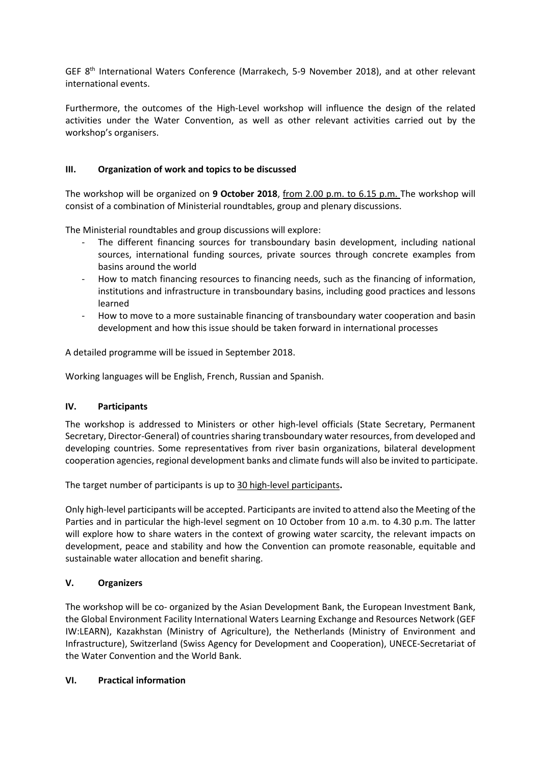GEF 8<sup>th</sup> International Waters Conference (Marrakech, 5-9 November 2018), and at other relevant international events.

Furthermore, the outcomes of the High-Level workshop will influence the design of the related activities under the Water Convention, as well as other relevant activities carried out by the workshop's organisers.

## **III. Organization of work and topics to be discussed**

The workshop will be organized on **9 October 2018**, from 2.00 p.m. to 6.15 p.m. The workshop will consist of a combination of Ministerial roundtables, group and plenary discussions.

The Ministerial roundtables and group discussions will explore:

- The different financing sources for transboundary basin development, including national sources, international funding sources, private sources through concrete examples from basins around the world
- How to match financing resources to financing needs, such as the financing of information, institutions and infrastructure in transboundary basins, including good practices and lessons learned
- How to move to a more sustainable financing of transboundary water cooperation and basin development and how this issue should be taken forward in international processes

A detailed programme will be issued in September 2018.

Working languages will be English, French, Russian and Spanish.

## **IV. Participants**

The workshop is addressed to Ministers or other high-level officials (State Secretary, Permanent Secretary, Director-General) of countries sharing transboundary water resources, from developed and developing countries. Some representatives from river basin organizations, bilateral development cooperation agencies, regional development banks and climate funds will also be invited to participate.

The target number of participants is up to 30 high-level participants**.**

Only high-level participants will be accepted. Participants are invited to attend also the Meeting of the Parties and in particular the high-level segment on 10 October from 10 a.m. to 4.30 p.m. The latter will explore how to share waters in the context of growing water scarcity, the relevant impacts on development, peace and stability and how the Convention can promote reasonable, equitable and sustainable water allocation and benefit sharing.

## **V. Organizers**

The workshop will be co- organized by the Asian Development Bank, the European Investment Bank, the Global Environment Facility International Waters Learning Exchange and Resources Network (GEF IW:LEARN), Kazakhstan (Ministry of Agriculture), the Netherlands (Ministry of Environment and Infrastructure), Switzerland (Swiss Agency for Development and Cooperation), UNECE-Secretariat of the Water Convention and the World Bank.

## **VI. Practical information**